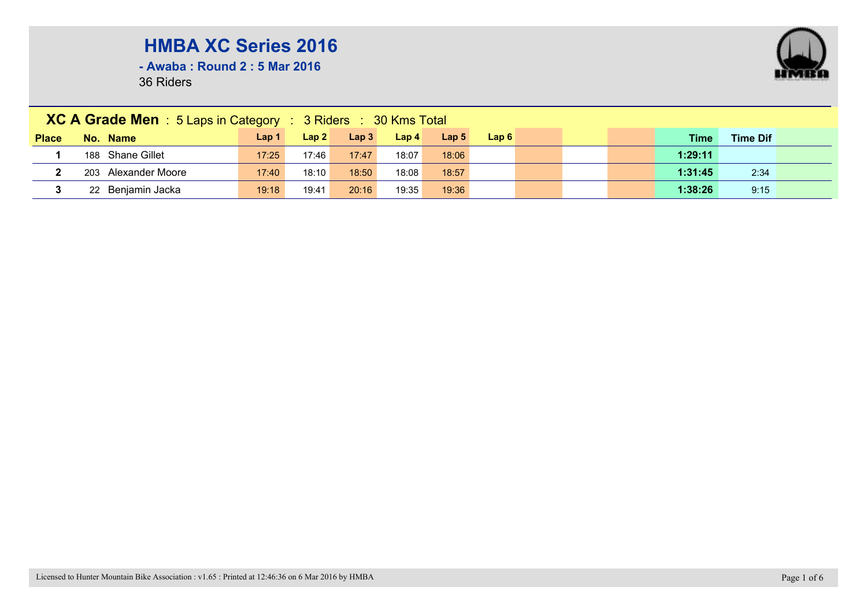**- Awaba : Round 2 : 5 Mar 2016**

|              | XC A Grade Men : 5 Laps in Category : 3 Riders : 30 Kms Total |                  |       |                  |                  |                  |      |  |  |  |         |                 |  |  |
|--------------|---------------------------------------------------------------|------------------|-------|------------------|------------------|------------------|------|--|--|--|---------|-----------------|--|--|
| <b>Place</b> | No. Name                                                      | Lap <sub>1</sub> | Lap 2 | Lap <sub>3</sub> | Lap <sub>4</sub> | Lap <sub>5</sub> | Lap6 |  |  |  | Time    | <b>Time Dif</b> |  |  |
|              | 188 Shane Gillet                                              | 17:25            | 17:46 | 17:47            | 18:07            | 18:06            |      |  |  |  | 1:29:11 |                 |  |  |
|              | 203 Alexander Moore                                           | 17:40            | 18:10 | 18:50            | 18:08            | 18:57            |      |  |  |  | 1:31:45 | 2:34            |  |  |
| 3            | 22 Benjamin Jacka                                             | 19:18            | 19:41 | 20:16            | 19:35            | 19:36            |      |  |  |  | 1:38:26 | 9:15            |  |  |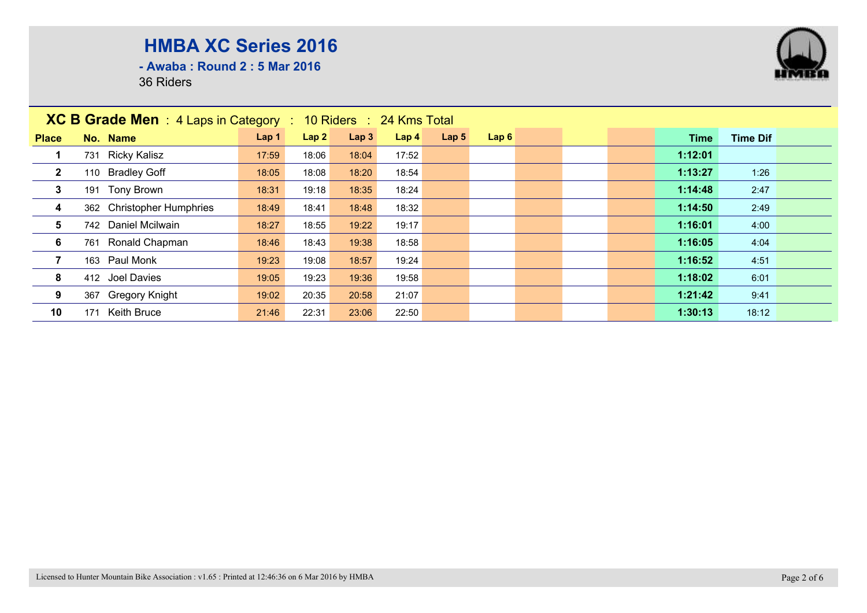**- Awaba : Round 2 : 5 Mar 2016**

|                | <b>XC B Grade Men</b> : 4 Laps in Category : 10 Riders : 24 Kms Total |       |       |       |                  |                  |      |  |         |                 |  |  |
|----------------|-----------------------------------------------------------------------|-------|-------|-------|------------------|------------------|------|--|---------|-----------------|--|--|
| <b>Place</b>   | No. Name                                                              | Lap 1 | Lap2  | Lap3  | Lap <sub>4</sub> | Lap <sub>5</sub> | Lap6 |  | Time    | <b>Time Dif</b> |  |  |
|                | 731 Ricky Kalisz                                                      | 17:59 | 18:06 | 18:04 | 17:52            |                  |      |  | 1:12:01 |                 |  |  |
| $\overline{2}$ | 110 Bradley Goff                                                      | 18:05 | 18:08 | 18:20 | 18:54            |                  |      |  | 1:13:27 | 1:26            |  |  |
| 3              | 191 Tony Brown                                                        | 18:31 | 19:18 | 18:35 | 18:24            |                  |      |  | 1:14:48 | 2:47            |  |  |
| 4              | 362 Christopher Humphries                                             | 18:49 | 18:41 | 18:48 | 18:32            |                  |      |  | 1:14:50 | 2:49            |  |  |
| 5              | 742 Daniel Mcilwain                                                   | 18:27 | 18:55 | 19:22 | 19:17            |                  |      |  | 1:16:01 | 4:00            |  |  |
| 6              | 761 Ronald Chapman                                                    | 18:46 | 18:43 | 19:38 | 18:58            |                  |      |  | 1:16:05 | 4:04            |  |  |
|                | 163 Paul Monk                                                         | 19:23 | 19:08 | 18:57 | 19:24            |                  |      |  | 1:16:52 | 4:51            |  |  |
| 8              | 412 Joel Davies                                                       | 19:05 | 19:23 | 19:36 | 19:58            |                  |      |  | 1:18:02 | 6:01            |  |  |
| 9              | 367 Gregory Knight                                                    | 19:02 | 20:35 | 20:58 | 21:07            |                  |      |  | 1:21:42 | 9:41            |  |  |
| 10             | <b>Keith Bruce</b><br>171                                             | 21:46 | 22:31 | 23:06 | 22:50            |                  |      |  | 1:30:13 | 18:12           |  |  |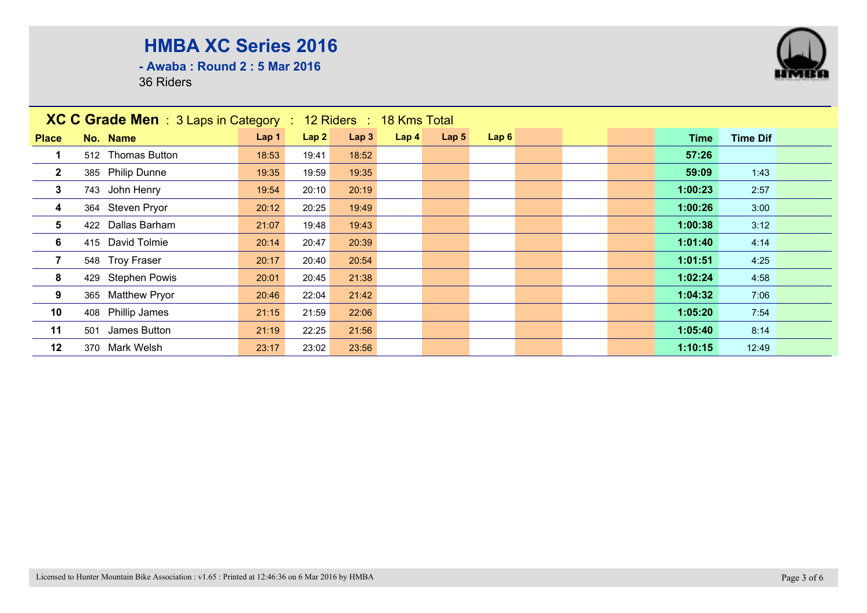**- Awaba : Round 2 : 5 Mar 2016**

| XC C Grade Men : 3 Laps in Category : 12 Riders : 18 Kms Total |                     |       |                  |       |                  |                  |      |  |  |  |             |                 |  |
|----------------------------------------------------------------|---------------------|-------|------------------|-------|------------------|------------------|------|--|--|--|-------------|-----------------|--|
| <b>Place</b>                                                   | No. Name            | Lap 1 | Lap <sub>2</sub> | Lap3  | Lap <sub>4</sub> | Lap <sub>5</sub> | Lap6 |  |  |  | <b>Time</b> | <b>Time Dif</b> |  |
|                                                                | 512 Thomas Button   | 18:53 | 19:41            | 18:52 |                  |                  |      |  |  |  | 57:26       |                 |  |
| $\mathbf{2}$                                                   | 385 Philip Dunne    | 19:35 | 19:59            | 19:35 |                  |                  |      |  |  |  | 59:09       | 1:43            |  |
| $\mathbf{3}$                                                   | 743 John Henry      | 19:54 | 20:10            | 20:19 |                  |                  |      |  |  |  | 1:00:23     | 2:57            |  |
| $\overline{\mathbf{4}}$                                        | 364 Steven Pryor    | 20:12 | 20:25            | 19:49 |                  |                  |      |  |  |  | 1:00:26     | 3:00            |  |
| 5                                                              | 422 Dallas Barham   | 21:07 | 19:48            | 19:43 |                  |                  |      |  |  |  | 1:00:38     | 3:12            |  |
| 6                                                              | 415 David Tolmie    | 20:14 | 20:47            | 20:39 |                  |                  |      |  |  |  | 1:01:40     | 4:14            |  |
| $\overline{7}$                                                 | 548 Troy Fraser     | 20:17 | 20:40            | 20:54 |                  |                  |      |  |  |  | 1:01:51     | 4:25            |  |
| 8                                                              | 429 Stephen Powis   | 20:01 | 20:45            | 21:38 |                  |                  |      |  |  |  | 1:02:24     | 4:58            |  |
| 9                                                              | 365 Matthew Pryor   | 20:46 | 22:04            | 21:42 |                  |                  |      |  |  |  | 1:04:32     | 7:06            |  |
| 10                                                             | 408 Phillip James   | 21:15 | 21:59            | 22:06 |                  |                  |      |  |  |  | 1:05:20     | 7:54            |  |
| 11                                                             | James Button<br>501 | 21:19 | 22:25            | 21:56 |                  |                  |      |  |  |  | 1:05:40     | 8:14            |  |
| 12                                                             | 370 Mark Welsh      | 23:17 | 23:02            | 23:56 |                  |                  |      |  |  |  | 1:10:15     | 12:49           |  |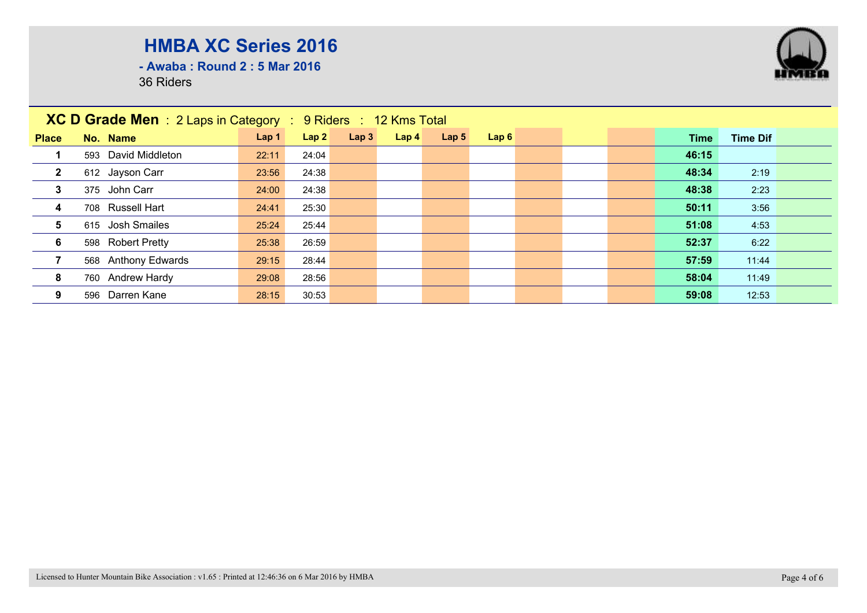**- Awaba : Round 2 : 5 Mar 2016**

|                         | <b>XC D Grade Men</b> : 2 Laps in Category : 9 Riders : 12 Kms Total |       |       |      |                  |                  |      |  |  |       |                 |  |
|-------------------------|----------------------------------------------------------------------|-------|-------|------|------------------|------------------|------|--|--|-------|-----------------|--|
| <b>Place</b>            | No. Name                                                             | Lap 1 | Lap2  | Lap3 | Lap <sub>4</sub> | Lap <sub>5</sub> | Lap6 |  |  | Time  | <b>Time Dif</b> |  |
|                         | 593 David Middleton                                                  | 22:11 | 24:04 |      |                  |                  |      |  |  | 46:15 |                 |  |
| $\mathbf{2}$            | 612 Jayson Carr                                                      | 23:56 | 24:38 |      |                  |                  |      |  |  | 48:34 | 2:19            |  |
| $\mathbf{3}$            | 375 John Carr                                                        | 24:00 | 24:38 |      |                  |                  |      |  |  | 48:38 | 2:23            |  |
| $\overline{\mathbf{4}}$ | 708 Russell Hart                                                     | 24:41 | 25:30 |      |                  |                  |      |  |  | 50:11 | 3:56            |  |
| 5                       | 615 Josh Smailes                                                     | 25:24 | 25:44 |      |                  |                  |      |  |  | 51:08 | 4:53            |  |
| 6                       | 598 Robert Pretty                                                    | 25:38 | 26:59 |      |                  |                  |      |  |  | 52:37 | 6:22            |  |
|                         | 568 Anthony Edwards                                                  | 29:15 | 28:44 |      |                  |                  |      |  |  | 57:59 | 11:44           |  |
| 8                       | 760 Andrew Hardy                                                     | 29:08 | 28:56 |      |                  |                  |      |  |  | 58:04 | 11:49           |  |
| 9                       | Darren Kane<br>596                                                   | 28:15 | 30:53 |      |                  |                  |      |  |  | 59:08 | 12:53           |  |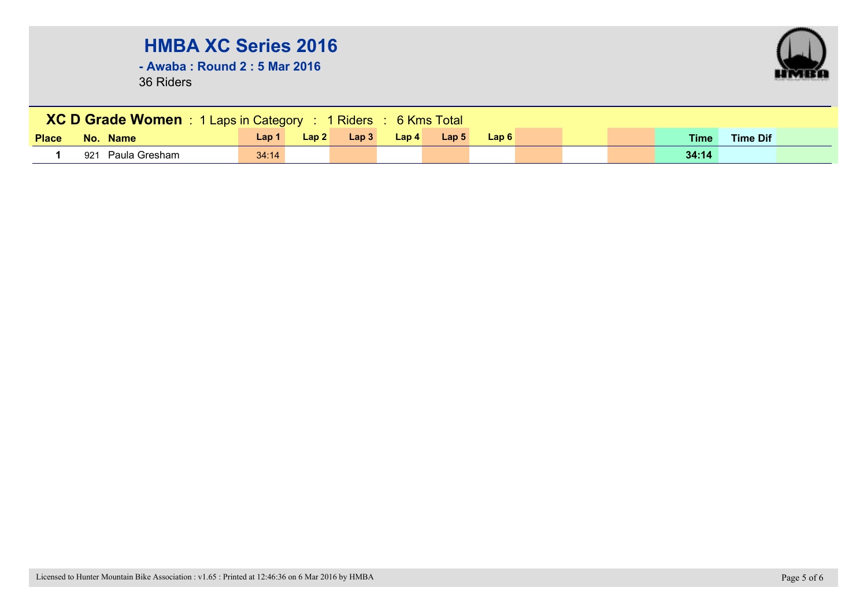**- Awaba : Round 2 : 5 Mar 2016**



|              | <b>XC D Grade Women</b> : 1 Laps in Category : 1 Riders : 6 Kms Total |       |                  |      |                  |                  |      |  |  |  |             |                 |  |
|--------------|-----------------------------------------------------------------------|-------|------------------|------|------------------|------------------|------|--|--|--|-------------|-----------------|--|
| <b>Place</b> | No. Name                                                              | Lap 1 | Lap <sub>2</sub> | Lap3 | $\mathsf{Lap}$ 4 | Lap <sub>5</sub> | Lap6 |  |  |  | <b>Time</b> | <b>Time Dif</b> |  |
|              | Paula Gresham<br>921                                                  | 34:14 |                  |      |                  |                  |      |  |  |  | 34:14       |                 |  |